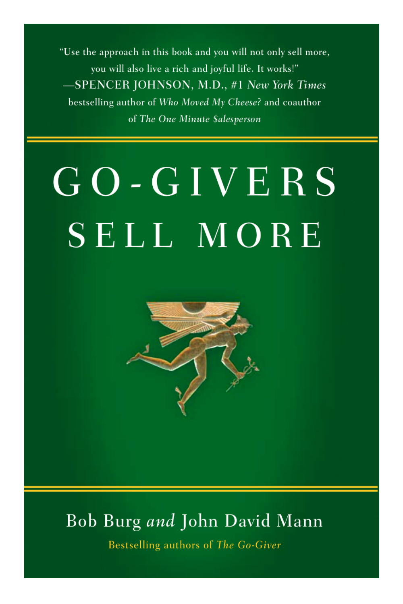"Use the approach in this book and you will not only sell more, you will also live a rich and joyful life. It works!" -SPENCER JOHNSON, M.D., #1 New York Times bestselling author of Who Moved My Cheese? and coauthor of The One Minute \$alesperson

# $G$  O -  $G$  I V E R S SELL MORE



## Bob Burg and John David Mann

Bestselling authors of The Go-Giver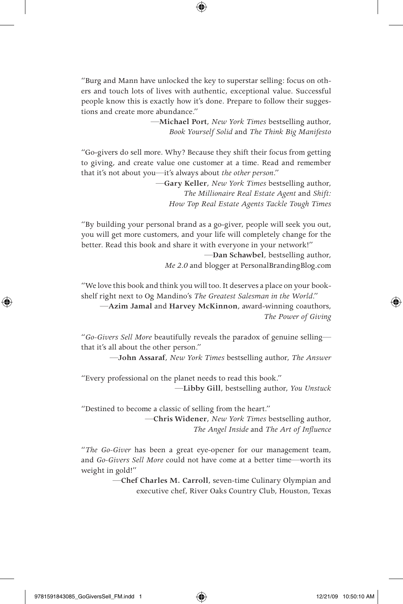"Burg and Mann have unlocked the key to superstar selling: focus on others and touch lots of lives with authentic, exceptional value. Successful people know this is exactly how it's done. Prepare to follow their suggestions and create more abundance."

> —**Michael Port**, *New York Times* bestselling author, *Book Yourself Solid* and *The Think Big Manifesto*

"Go-givers do sell more. Why? Because they shift their focus from getting to giving, and create value one customer at a time. Read and remember that it's not about you—it's always about *the other person*."

> —**Gary Keller**, *New York Times* bestselling author, *The Millionaire Real Estate Agent* and *Shift: How Top Real Estate Agents Tackle Tough Times*

"By building your personal brand as a go-giver, people will seek you out, you will get more customers, and your life will completely change for the better. Read this book and share it with everyone in your network!"

> —**Dan Schawbel**, bestselling author, *Me 2.0* and blogger at PersonalBrandingBlog.com

"We love this book and think you will too. It deserves a place on your bookshelf right next to Og Mandino's *The Greatest Salesman in the World*."

—**Azim Jamal** and **Harvey McKinnon**, award-winning coauthors, *The Power of Giving*

"*Go-Givers Sell More* beautifully reveals the paradox of genuine selling that it's all about the other person."

—**John Assaraf**, *New York Times* bestselling author, *The Answer*

"Every professional on the planet needs to read this book." —**Libby Gill**, bestselling author, *You Unstuck*

"Destined to become a classic of selling from the heart." —**Chris Widener**, *New York Times* bestselling author, *The Angel Inside* and *The Art of Influence*

"*The Go-Giver* has been a great eye-opener for our management team, and *Go-Givers Sell More* could not have come at a better time—worth its weight in gold!"

> —**Chef Charles M. Carroll**, seven-time Culinary Olympian and executive chef, River Oaks Country Club, Houston, Texas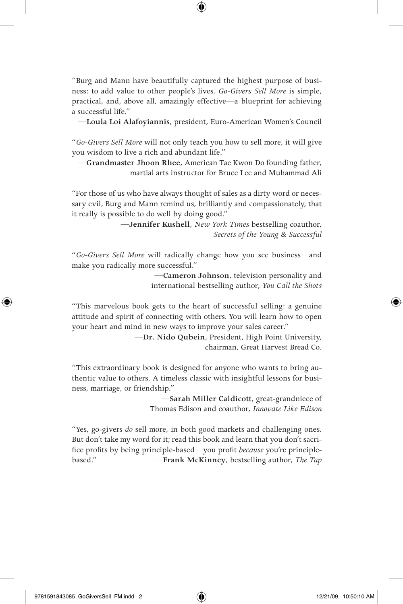"Burg and Mann have beautifully captured the highest purpose of business: to add value to other people's lives. *Go-Givers Sell More* is simple, practical, and, above all, amazingly effective—a blueprint for achieving a successful life."

—**Loula Loi Alafoyiannis**, president, Euro-American Women's Council

"*Go-Givers Sell More* will not only teach you how to sell more, it will give you wisdom to live a rich and abundant life."

—**Grandmaster Jhoon Rhee**, American Tae Kwon Do founding father, martial arts instructor for Bruce Lee and Muhammad Ali

"For those of us who have always thought of sales as a dirty word or necessary evil, Burg and Mann remind us, brilliantly and compassionately, that it really is possible to do well by doing good."

> —**Jennifer Kushell**, *New York Times* bestselling coauthor, *Secrets of the Young & Successful*

"*Go-Givers Sell More* will radically change how you see business—and make you radically more successful."

> —**Cameron Johnson**, television personality and international bestselling author, *You Call the Shots*

"This marvelous book gets to the heart of successful selling: a genuine attitude and spirit of connecting with others. You will learn how to open your heart and mind in new ways to improve your sales career."

> —**Dr. Nido Qubein**, President, High Point University, chairman, Great Harvest Bread Co.

"This extraordinary book is designed for anyone who wants to bring authentic value to others. A timeless classic with insightful lessons for business, marriage, or friendship."

> —**Sarah Miller Caldicott**, great-grandniece of Thomas Edison and coauthor, *Innovate Like Edison*

"Yes, go-givers *do* sell more, in both good markets and challenging ones. But don't take my word for it; read this book and learn that you don't sacrifice profits by being principle-based—you profit *because* you're principlebased." —**Frank McKinney**, bestselling author, *The Tap*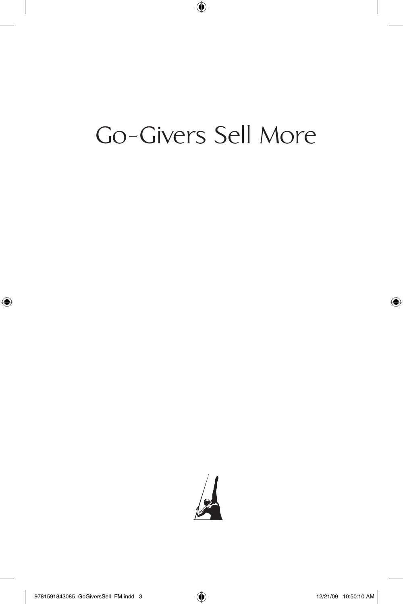# Go-Givers Sell More

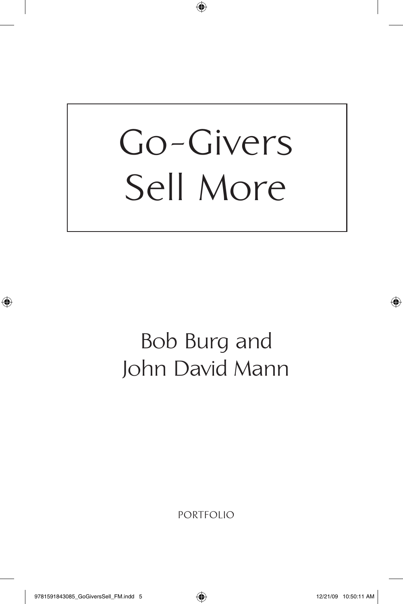# Go-Givers Sell More

## Bob Burg and John David Mann

Portfolio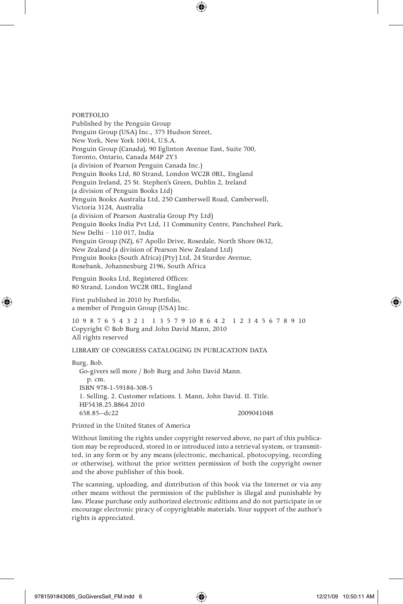PORTFOLIO

Published by the Penguin Group Penguin Group (USA) Inc., 375 Hudson Street, New York, New York 10014, U.S.A. Penguin Group (Canada), 90 Eglinton Avenue East, Suite 700, Toronto, Ontario, Canada M4P 2Y3 (a division of Pearson Penguin Canada Inc.) Penguin Books Ltd, 80 Strand, London WC2R 0RL, England Penguin Ireland, 25 St. Stephen's Green, Dublin 2, Ireland (a division of Penguin Books Ltd) Penguin Books Australia Ltd, 250 Camberwell Road, Camberwell, Victoria 3124, Australia (a division of Pearson Australia Group Pty Ltd) Penguin Books India Pvt Ltd, 11 Community Centre, Panchsheel Park, New Delhi – 110 017, India Penguin Group (NZ), 67 Apollo Drive, Rosedale, North Shore 0632, New Zealand (a division of Pearson New Zealand Ltd) Penguin Books (South Africa) (Pty) Ltd, 24 Sturdee Avenue, Rosebank, Johannesburg 2196, South Africa

Penguin Books Ltd, Registered Offices: 80 Strand, London WC2R 0RL, England

First published in 2010 by Portfolio, a member of Penguin Group (USA) Inc.

10 9 8 7 6 5 4 3 2 1 1 3 5 7 9 10 8 6 4 2 1 2 3 4 5 6 7 8 9 10 Copyright © Bob Burg and John David Mann, 2010 All rights reserved

LIBRARY OF CONGRESS CATALOGING IN PUBLICATION DATA

Burg, Bob. Go-givers sell more / Bob Burg and John David Mann. p. cm. ISBN 978-1-59184-308-5 1. Selling. 2. Customer relations. I. Mann, John David. II. Title. HF5438.25.B864 2010 658.85--dc22 2009041048

Printed in the United States of America

Without limiting the rights under copyright reserved above, no part of this publication may be reproduced, stored in or introduced into a retrieval system, or transmitted, in any form or by any means (electronic, mechanical, photocopying, recording or otherwise), without the prior written permission of both the copyright owner and the above publisher of this book.

The scanning, uploading, and distribution of this book via the Internet or via any other means without the permission of the publisher is illegal and punishable by law. Please purchase only authorized electronic editions and do not participate in or encourage electronic piracy of copyrightable materials. Your support of the author's rights is appreciated.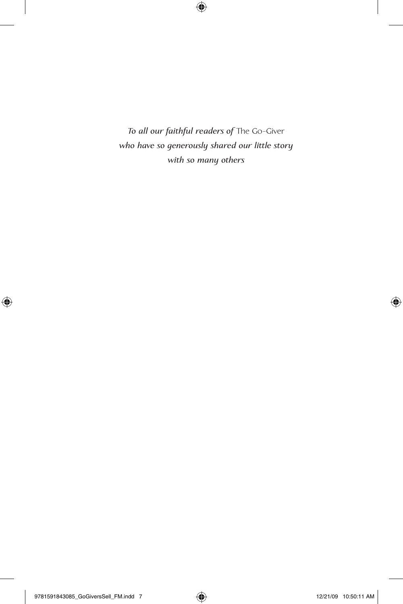*To all our faithful readers of* The Go-Giver *who have so generously shared our little story with so many others*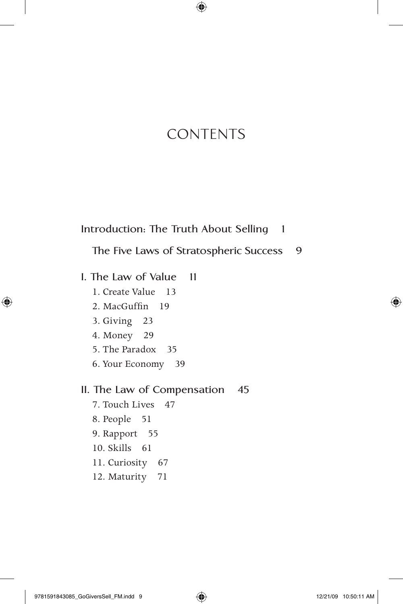## **CONTENTS**

**Introduction: The Truth About Selling 1 The Five Laws of Stratospheric Success 9 I. The Law of Value 11** 1. Create Value 13 2. MacGuffin 19 3. Giving 23 4. Money 29 5. The Paradox 35 6. Your Economy 39 **II. The Law of Compensation 45** 7. Touch Lives 47 8. People 51 9. Rapport 55 10. Skills 61 11. Curiosity 67 12. Maturity 71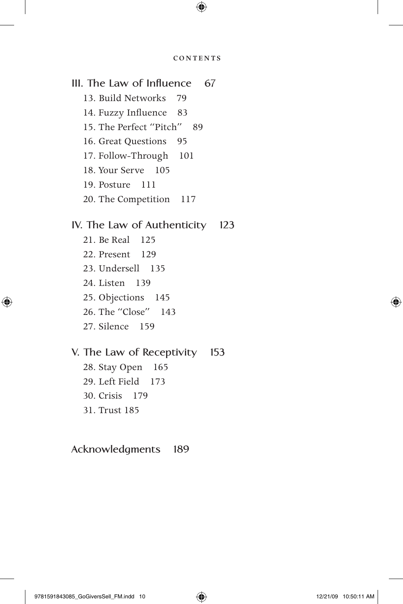**III. The Law of Influence 67** 13. Build Networks 79 14. Fuzzy Influence 83 15. The Perfect "Pitch" 89 16. Great Questions 95 17. Follow-Through 101 18. Your Serve 105 19. Posture 111 20. The Competition 117 **IV. The Law of Authenticity 123** 21. Be Real 125 22. Present 129 23. Undersell 135 24. Listen 139 25. Objections 145 26. The "Close" 143 27. Silence 159 **V. The Law of Receptivity 153** 28. Stay Open 165 29. Left Field 173 30. Crisis 179 31. Trust 185

**Acknowledgments 189**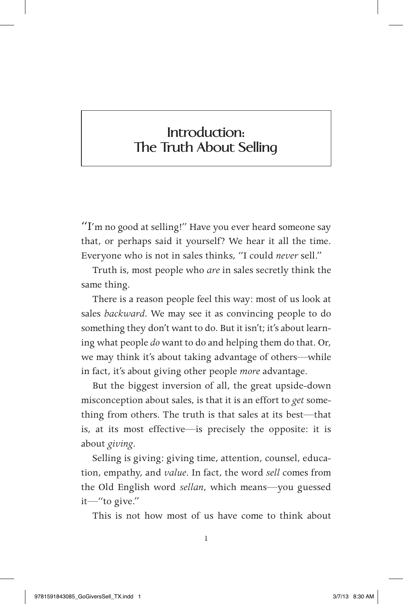### **Introduction: The Truth About Selling**

"I'm no good at selling!" Have you ever heard someone say that, or perhaps said it yourself? We hear it all the time. Everyone who is not in sales thinks, "I could *never* sell."

Truth is, most people who *are* in sales secretly think the same thing.

There is a reason people feel this way: most of us look at sales *backward*. We may see it as convincing people to do something they don't want to do. But it isn't; it's about learning what people *do* want to do and helping them do that. Or, we may think it's about taking advantage of others—while in fact, it's about giving other people *more* advantage.

But the biggest inversion of all, the great upside-down misconception about sales, is that it is an effort to *get* something from others. The truth is that sales at its best—that is, at its most effective—is precisely the opposite: it is about *giving*.

Selling is giving: giving time, attention, counsel, education, empathy, and *value*. In fact, the word *sell* comes from the Old English word *sellan*, which means—you guessed it—"to give."

This is not how most of us have come to think about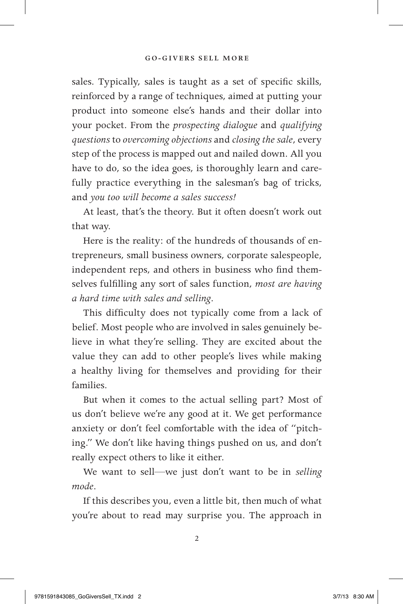sales. Typically, sales is taught as a set of specific skills, reinforced by a range of techniques, aimed at putting your product into someone else's hands and their dollar into your pocket. From the *prospecting dialogue* and *qualifying questions* to *overcoming objections* and *closing the sale*, every step of the process is mapped out and nailed down. All you have to do, so the idea goes, is thoroughly learn and carefully practice everything in the salesman's bag of tricks, and *you too will become a sales success!*

At least, that's the theory. But it often doesn't work out that way.

Here is the reality: of the hundreds of thousands of entrepreneurs, small business owners, corporate salespeople, independent reps, and others in business who find themselves fulfilling any sort of sales function, *most are having a hard time with sales and selling*.

This difficulty does not typically come from a lack of belief. Most people who are involved in sales genuinely believe in what they're selling. They are excited about the value they can add to other people's lives while making a healthy living for themselves and providing for their families.

But when it comes to the actual selling part? Most of us don't believe we're any good at it. We get performance anxiety or don't feel comfortable with the idea of "pitching." We don't like having things pushed on us, and don't really expect others to like it either.

We want to sell—we just don't want to be in *selling mode*.

If this describes you, even a little bit, then much of what you're about to read may surprise you. The approach in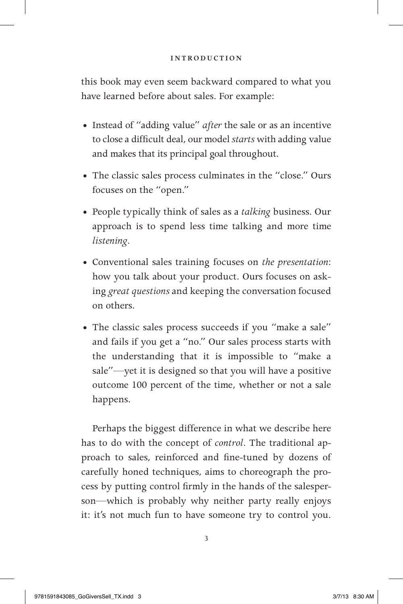#### **introduction**

this book may even seem backward compared to what you have learned before about sales. For example:

- • Instead of "adding value" *after* the sale or as an incentive to close a difficult deal, our model *starts* with adding value and makes that its principal goal throughout.
- The classic sales process culminates in the "close." Ours focuses on the "open."
- • People typically think of sales as a *talking* business. Our approach is to spend less time talking and more time *listening*.
- • Conventional sales training focuses on *the presentation*: how you talk about your product. Ours focuses on asking *great questions* and keeping the conversation focused on others.
- The classic sales process succeeds if you "make a sale" and fails if you get a "no." Our sales process starts with the understanding that it is impossible to "make a sale"—yet it is designed so that you will have a positive outcome 100 percent of the time, whether or not a sale happens.

Perhaps the biggest difference in what we describe here has to do with the concept of *control*. The traditional approach to sales, reinforced and fine-tuned by dozens of carefully honed techniques, aims to choreograph the process by putting control firmly in the hands of the salesperson—which is probably why neither party really enjoys it: it's not much fun to have someone try to control you.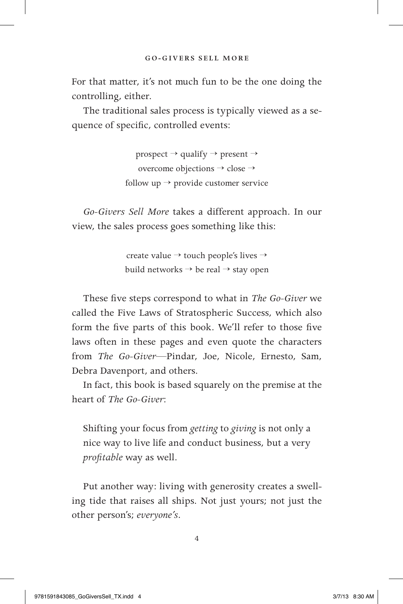For that matter, it's not much fun to be the one doing the controlling, either.

The traditional sales process is typically viewed as a sequence of specific, controlled events:

> prospect  $\rightarrow$  qualify  $\rightarrow$  present  $\rightarrow$ overcome objections  $\rightarrow$  close  $\rightarrow$ follow up  $\rightarrow$  provide customer service

*Go-Givers Sell More* takes a different approach. In our view, the sales process goes something like this:

> create value  $\rightarrow$  touch people's lives  $\rightarrow$ build networks  $\rightarrow$  be real  $\rightarrow$  stay open

These five steps correspond to what in *The Go-Giver* we called the Five Laws of Stratospheric Success, which also form the five parts of this book. We'll refer to those five laws often in these pages and even quote the characters from *The Go-Giver*—Pindar, Joe, Nicole, Ernesto, Sam, Debra Davenport, and others.

In fact, this book is based squarely on the premise at the heart of *The Go-Giver*:

Shifting your focus from *getting* to *giving* is not only a nice way to live life and conduct business, but a very *profitable* way as well.

Put another way: living with generosity creates a swelling tide that raises all ships. Not just yours; not just the other person's; *everyone's*.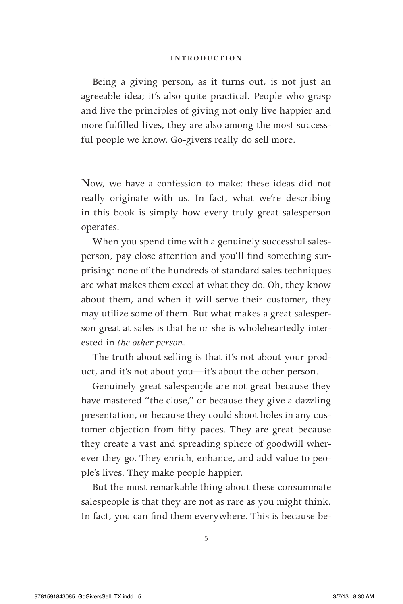#### **introduction**

Being a giving person, as it turns out, is not just an agreeable idea; it's also quite practical. People who grasp and live the principles of giving not only live happier and more fulfilled lives, they are also among the most successful people we know. Go-givers really do sell more.

Now, we have a confession to make: these ideas did not really originate with us. In fact, what we're describing in this book is simply how every truly great salesperson operates.

When you spend time with a genuinely successful salesperson, pay close attention and you'll find something surprising: none of the hundreds of standard sales techniques are what makes them excel at what they do. Oh, they know about them, and when it will serve their customer, they may utilize some of them. But what makes a great salesperson great at sales is that he or she is wholeheartedly interested in *the other person*.

The truth about selling is that it's not about your product, and it's not about you—it's about the other person.

Genuinely great salespeople are not great because they have mastered "the close," or because they give a dazzling presentation, or because they could shoot holes in any customer objection from fifty paces. They are great because they create a vast and spreading sphere of goodwill wherever they go. They enrich, enhance, and add value to people's lives. They make people happier.

But the most remarkable thing about these consummate salespeople is that they are not as rare as you might think. In fact, you can find them everywhere. This is because be-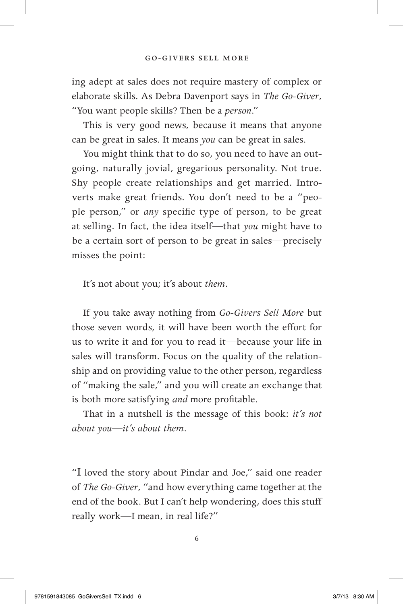ing adept at sales does not require mastery of complex or elaborate skills. As Debra Davenport says in *The Go-Giver*, "You want people skills? Then be a *person*."

This is very good news, because it means that anyone can be great in sales. It means *you* can be great in sales.

You might think that to do so, you need to have an outgoing, naturally jovial, gregarious personality. Not true. Shy people create relationships and get married. Introverts make great friends. You don't need to be a "people person," or *any* specific type of person, to be great at selling. In fact, the idea itself—that *you* might have to be a certain sort of person to be great in sales—precisely misses the point:

It's not about you; it's about *them*.

If you take away nothing from *Go-Givers Sell More* but those seven words, it will have been worth the effort for us to write it and for you to read it—because your life in sales will transform. Focus on the quality of the relationship and on providing value to the other person, regardless of "making the sale," and you will create an exchange that is both more satisfying *and* more profitable.

That in a nutshell is the message of this book: *it's not about you—it's about them*.

"I loved the story about Pindar and Joe," said one reader of *The Go-Giver*, "and how everything came together at the end of the book. But I can't help wondering, does this stuff really work—I mean, in real life?"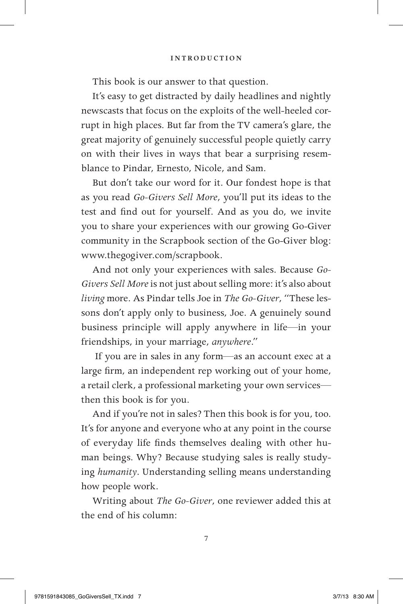This book is our answer to that question.

It's easy to get distracted by daily headlines and nightly newscasts that focus on the exploits of the well-heeled corrupt in high places. But far from the TV camera's glare, the great majority of genuinely successful people quietly carry on with their lives in ways that bear a surprising resemblance to Pindar, Ernesto, Nicole, and Sam.

But don't take our word for it. Our fondest hope is that as you read *Go-Givers Sell More*, you'll put its ideas to the test and find out for yourself. And as you do, we invite you to share your experiences with our growing Go-Giver community in the Scrapbook section of the Go-Giver blog: www.thegogiver.com/scrapbook.

And not only your experiences with sales. Because *Go-Givers Sell More* is not just about selling more: it's also about *living* more. As Pindar tells Joe in *The Go-Giver*, "These lessons don't apply only to business, Joe. A genuinely sound business principle will apply anywhere in life—in your friendships, in your marriage, *anywhere*."

 If you are in sales in any form—as an account exec at a large firm, an independent rep working out of your home, a retail clerk, a professional marketing your own services then this book is for you.

And if you're not in sales? Then this book is for you, too. It's for anyone and everyone who at any point in the course of everyday life finds themselves dealing with other human beings. Why? Because studying sales is really studying *humanity*. Understanding selling means understanding how people work.

Writing about *The Go-Giver*, one reviewer added this at the end of his column: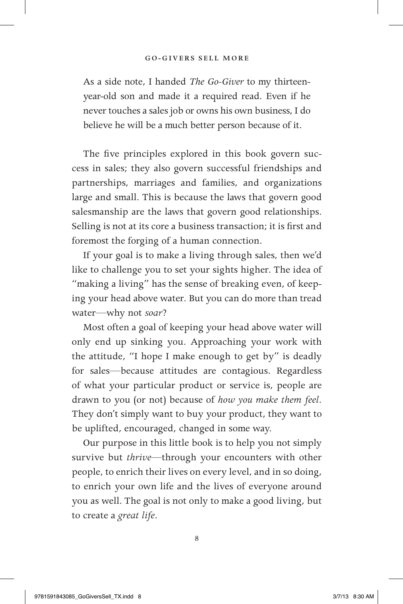As a side note, I handed *The Go-Giver* to my thirteenyear-old son and made it a required read. Even if he never touches a sales job or owns his own business, I do believe he will be a much better person because of it.

The five principles explored in this book govern success in sales; they also govern successful friendships and partnerships, marriages and families, and organizations large and small. This is because the laws that govern good salesmanship are the laws that govern good relationships. Selling is not at its core a business transaction; it is first and foremost the forging of a human connection.

If your goal is to make a living through sales, then we'd like to challenge you to set your sights higher. The idea of "making a living" has the sense of breaking even, of keeping your head above water. But you can do more than tread water—why not *soar*?

Most often a goal of keeping your head above water will only end up sinking you. Approaching your work with the attitude, "I hope I make enough to get by" is deadly for sales—because attitudes are contagious. Regardless of what your particular product or service is, people are drawn to you (or not) because of *how you make them feel*. They don't simply want to buy your product, they want to be uplifted, encouraged, changed in some way.

Our purpose in this little book is to help you not simply survive but *thrive*—through your encounters with other people, to enrich their lives on every level, and in so doing, to enrich your own life and the lives of everyone around you as well. The goal is not only to make a good living, but to create a *great life*.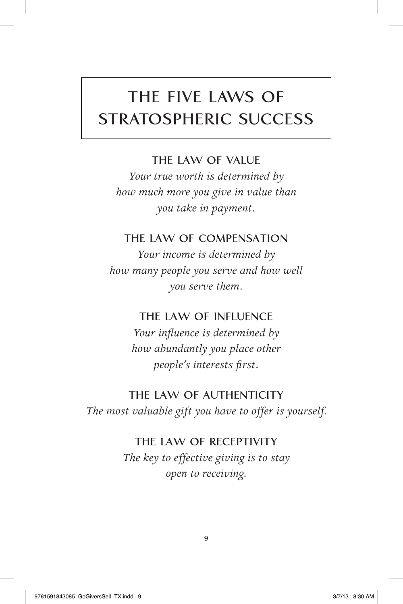## **The Five Laws of Stratospheric Success**

#### **The Law of Value**

*Your true worth is determined by how much more you give in value than you take in payment.*

#### **The Law of Compensation**

*Your income is determined by how many people you serve and how well you serve them.*

#### **The Law of Influence**

*Your influence is determined by how abundantly you place other people's interests first.*

#### **The Law of Authenticity**

*The most valuable gift you have to offer is yourself.*

#### **The Law of Receptivity**

*The key to effective giving is to stay open to receiving.*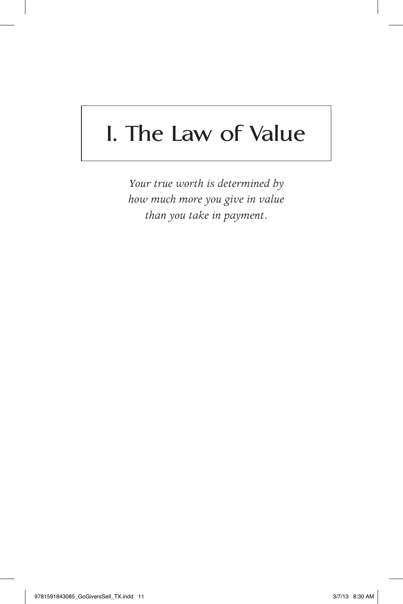# **I. The Law of Value**

*Your true worth is determined by how much more you give in value than you take in payment.*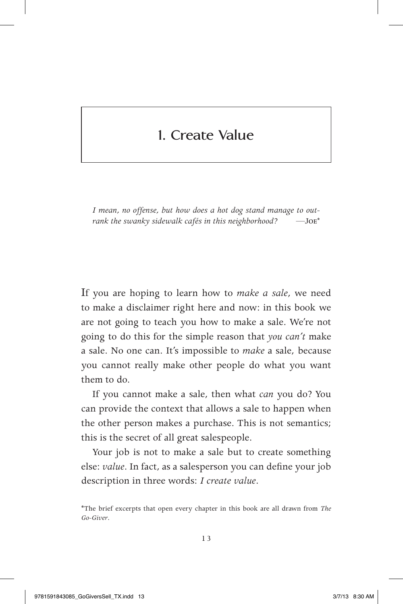## **1. Create Value**

*I mean, no offense, but how does a hot dog stand manage to out*rank the swanky sidewalk cafés in this neighborhood?  $-\text{JoE}^*$ 

If you are hoping to learn how to *make a sale*, we need to make a disclaimer right here and now: in this book we are not going to teach you how to make a sale. We're not going to do this for the simple reason that *you can't* make a sale. No one can. It's impossible to *make* a sale, because you cannot really make other people do what you want them to do.

If you cannot make a sale, then what *can* you do? You can provide the context that allows a sale to happen when the other person makes a purchase. This is not semantics; this is the secret of all great salespeople.

Your job is not to make a sale but to create something else: *value*. In fact, as a salesperson you can define your job description in three words: *I create value*.

<sup>\*</sup>The brief excerpts that open every chapter in this book are all drawn from *The Go-Giver*.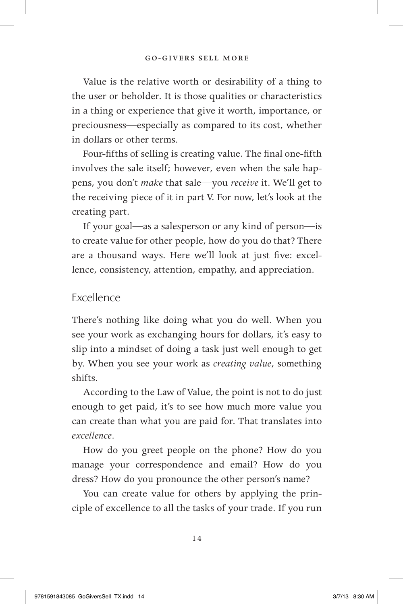Value is the relative worth or desirability of a thing to the user or beholder. It is those qualities or characteristics in a thing or experience that give it worth, importance, or preciousness—especially as compared to its cost, whether in dollars or other terms.

Four-fifths of selling is creating value. The final one-fifth involves the sale itself; however, even when the sale happens, you don't *make* that sale—you *receive* it. We'll get to the receiving piece of it in part V. For now, let's look at the creating part.

If your goal—as a salesperson or any kind of person—is to create value for other people, how do you do that? There are a thousand ways. Here we'll look at just five: excellence, consistency, attention, empathy, and appreciation.

#### Excellence

There's nothing like doing what you do well. When you see your work as exchanging hours for dollars, it's easy to slip into a mindset of doing a task just well enough to get by. When you see your work as *creating value*, something shifts.

According to the Law of Value, the point is not to do just enough to get paid, it's to see how much more value you can create than what you are paid for. That translates into *excellence*.

How do you greet people on the phone? How do you manage your correspondence and email? How do you dress? How do you pronounce the other person's name?

You can create value for others by applying the principle of excellence to all the tasks of your trade. If you run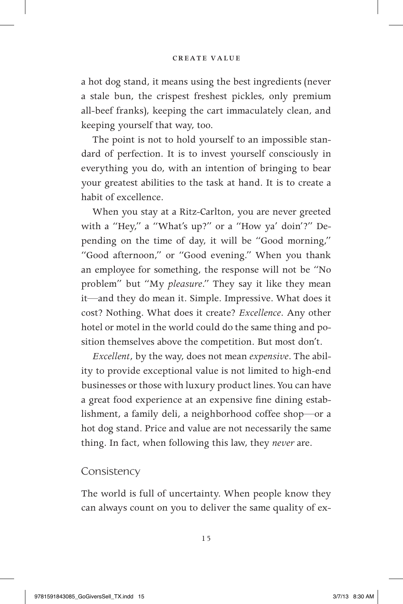a hot dog stand, it means using the best ingredients (never a stale bun, the crispest freshest pickles, only premium all-beef franks), keeping the cart immaculately clean, and keeping yourself that way, too.

The point is not to hold yourself to an impossible standard of perfection. It is to invest yourself consciously in everything you do, with an intention of bringing to bear your greatest abilities to the task at hand. It is to create a habit of excellence.

When you stay at a Ritz-Carlton, you are never greeted with a "Hey," a "What's up?" or a "How ya' doin'?" Depending on the time of day, it will be "Good morning," "Good afternoon," or "Good evening." When you thank an employee for something, the response will not be "No problem" but "My *pleasure*." They say it like they mean it—and they do mean it. Simple. Impressive. What does it cost? Nothing. What does it create? *Excellence*. Any other hotel or motel in the world could do the same thing and position themselves above the competition. But most don't.

*Excellent*, by the way, does not mean *expensive*. The ability to provide exceptional value is not limited to high-end businesses or those with luxury product lines. You can have a great food experience at an expensive fine dining establishment, a family deli, a neighborhood coffee shop—or a hot dog stand. Price and value are not necessarily the same thing. In fact, when following this law, they *never* are.

#### Consistency

The world is full of uncertainty. When people know they can always count on you to deliver the same quality of ex-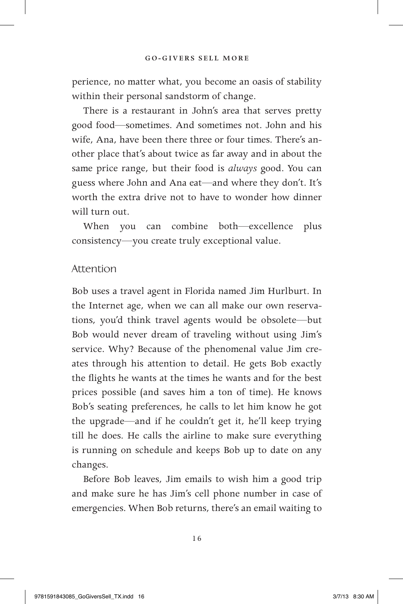perience, no matter what, you become an oasis of stability within their personal sandstorm of change.

There is a restaurant in John's area that serves pretty good food—sometimes. And sometimes not. John and his wife, Ana, have been there three or four times. There's another place that's about twice as far away and in about the same price range, but their food is *always* good. You can guess where John and Ana eat—and where they don't. It's worth the extra drive not to have to wonder how dinner will turn out.

When you can combine both—excellence plus consistency—you create truly exceptional value.

#### Attention

Bob uses a travel agent in Florida named Jim Hurlburt. In the Internet age, when we can all make our own reservations, you'd think travel agents would be obsolete—but Bob would never dream of traveling without using Jim's service. Why? Because of the phenomenal value Jim creates through his attention to detail. He gets Bob exactly the flights he wants at the times he wants and for the best prices possible (and saves him a ton of time). He knows Bob's seating preferences, he calls to let him know he got the upgrade—and if he couldn't get it, he'll keep trying till he does. He calls the airline to make sure everything is running on schedule and keeps Bob up to date on any changes.

Before Bob leaves, Jim emails to wish him a good trip and make sure he has Jim's cell phone number in case of emergencies. When Bob returns, there's an email waiting to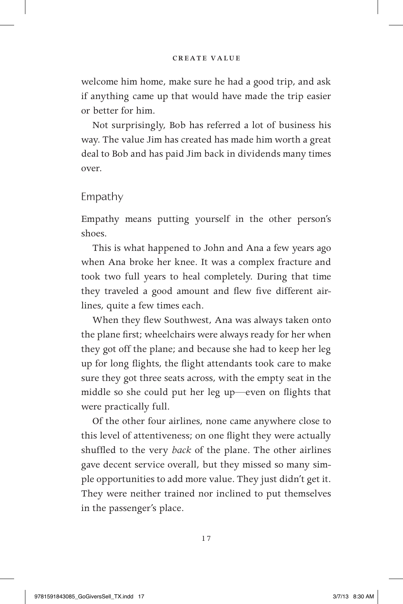welcome him home, make sure he had a good trip, and ask if anything came up that would have made the trip easier or better for him.

Not surprisingly, Bob has referred a lot of business his way. The value Jim has created has made him worth a great deal to Bob and has paid Jim back in dividends many times over.

#### Empathy

Empathy means putting yourself in the other person's shoes.

This is what happened to John and Ana a few years ago when Ana broke her knee. It was a complex fracture and took two full years to heal completely. During that time they traveled a good amount and flew five different airlines, quite a few times each.

When they flew Southwest, Ana was always taken onto the plane first; wheelchairs were always ready for her when they got off the plane; and because she had to keep her leg up for long flights, the flight attendants took care to make sure they got three seats across, with the empty seat in the middle so she could put her leg up—even on flights that were practically full.

Of the other four airlines, none came anywhere close to this level of attentiveness; on one flight they were actually shuffled to the very *back* of the plane. The other airlines gave decent service overall, but they missed so many simple opportunities to add more value. They just didn't get it. They were neither trained nor inclined to put themselves in the passenger's place.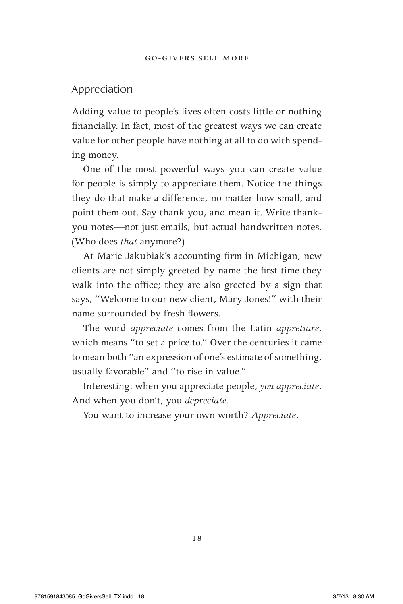#### Appreciation

Adding value to people's lives often costs little or nothing financially. In fact, most of the greatest ways we can create value for other people have nothing at all to do with spending money.

One of the most powerful ways you can create value for people is simply to appreciate them. Notice the things they do that make a difference, no matter how small, and point them out. Say thank you, and mean it. Write thankyou notes—not just emails, but actual handwritten notes. (Who does *that* anymore?)

At Marie Jakubiak's accounting firm in Michigan, new clients are not simply greeted by name the first time they walk into the office; they are also greeted by a sign that says, "Welcome to our new client, Mary Jones!" with their name surrounded by fresh flowers.

The word *appreciate* comes from the Latin *appretiare*, which means "to set a price to." Over the centuries it came to mean both "an expression of one's estimate of something, usually favorable" and "to rise in value."

Interesting: when you appreciate people, *you appreciate*. And when you don't, you *depreciate*.

You want to increase your own worth? *Appreciate*.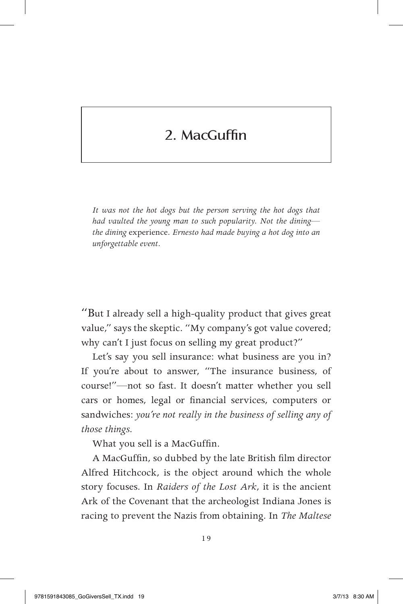## **2. MacGuffin**

*It was not the hot dogs but the person serving the hot dogs that had vaulted the young man to such popularity. Not the dining the dining* experience*. Ernesto had made buying a hot dog into an unforgettable event.*

"But I already sell a high-quality product that gives great value," says the skeptic. "My company's got value covered; why can't I just focus on selling my great product?"

Let's say you sell insurance: what business are you in? If you're about to answer, "The insurance business, of course!"—not so fast. It doesn't matter whether you sell cars or homes, legal or financial services, computers or sandwiches: *you're not really in the business of selling any of those things.*

What you sell is a MacGuffin.

A MacGuffin, so dubbed by the late British film director Alfred Hitchcock, is the object around which the whole story focuses. In *Raiders of the Lost Ark*, it is the ancient Ark of the Covenant that the archeologist Indiana Jones is racing to prevent the Nazis from obtaining. In *The Maltese*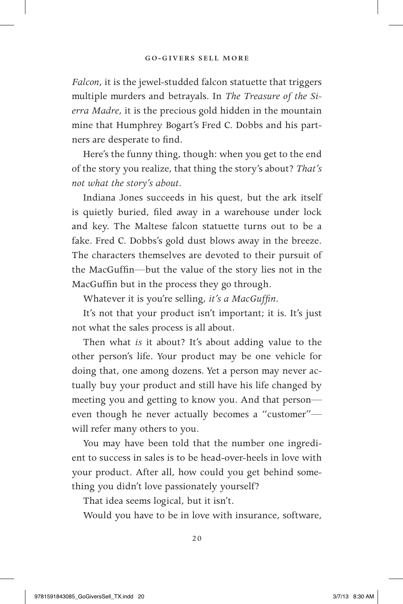*Falcon*, it is the jewel-studded falcon statuette that triggers multiple murders and betrayals. In *The Treasure of the Sierra Madre*, it is the precious gold hidden in the mountain mine that Humphrey Bogart's Fred C. Dobbs and his partners are desperate to find.

Here's the funny thing, though: when you get to the end of the story you realize, that thing the story's about? *That's not what the story's about*.

Indiana Jones succeeds in his quest, but the ark itself is quietly buried, filed away in a warehouse under lock and key. The Maltese falcon statuette turns out to be a fake. Fred C. Dobbs's gold dust blows away in the breeze. The characters themselves are devoted to their pursuit of the MacGuffin—but the value of the story lies not in the MacGuffin but in the process they go through.

Whatever it is you're selling, *it's a MacGuffin*.

It's not that your product isn't important; it is. It's just not what the sales process is all about.

Then what *is* it about? It's about adding value to the other person's life. Your product may be one vehicle for doing that, one among dozens. Yet a person may never actually buy your product and still have his life changed by meeting you and getting to know you. And that person even though he never actually becomes a "customer" will refer many others to you.

You may have been told that the number one ingredient to success in sales is to be head-over-heels in love with your product. After all, how could you get behind something you didn't love passionately yourself?

That idea seems logical, but it isn't.

Would you have to be in love with insurance, software,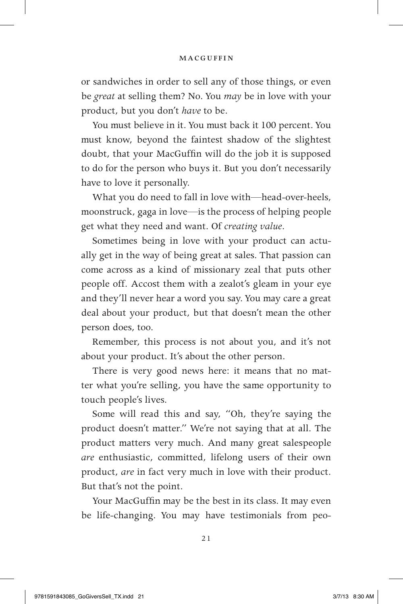#### **MACGUFFIN**

or sandwiches in order to sell any of those things, or even be *great* at selling them? No. You *may* be in love with your product, but you don't *have* to be.

You must believe in it. You must back it 100 percent. You must know, beyond the faintest shadow of the slightest doubt, that your MacGuffin will do the job it is supposed to do for the person who buys it. But you don't necessarily have to love it personally.

What you do need to fall in love with—head-over-heels, moonstruck, gaga in love—is the process of helping people get what they need and want. Of *creating value*.

Sometimes being in love with your product can actually get in the way of being great at sales. That passion can come across as a kind of missionary zeal that puts other people off. Accost them with a zealot's gleam in your eye and they'll never hear a word you say. You may care a great deal about your product, but that doesn't mean the other person does, too.

Remember, this process is not about you, and it's not about your product. It's about the other person.

There is very good news here: it means that no matter what you're selling, you have the same opportunity to touch people's lives.

Some will read this and say, "Oh, they're saying the product doesn't matter." We're not saying that at all. The product matters very much. And many great salespeople *are* enthusiastic, committed, lifelong users of their own product, *are* in fact very much in love with their product. But that's not the point.

Your MacGuffin may be the best in its class. It may even be life-changing. You may have testimonials from peo-